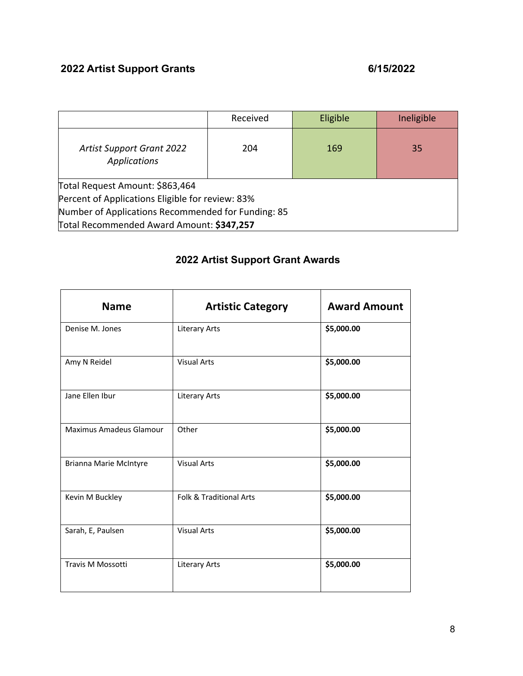## **2022 Artist Support Grants 6/15/2022**

|                                                         | Received | Eligible | Ineligible |
|---------------------------------------------------------|----------|----------|------------|
| <b>Artist Support Grant 2022</b><br><b>Applications</b> | 204      | 169      | 35         |
| Total Request Amount: \$863,464                         |          |          |            |
| Percent of Applications Eligible for review: 83%        |          |          |            |
| Number of Applications Recommended for Funding: 85      |          |          |            |
| Total Recommended Award Amount: \$347,257               |          |          |            |

## **2022 Artist Support Grant Awards**

| <b>Name</b>                    | <b>Artistic Category</b> | <b>Award Amount</b> |
|--------------------------------|--------------------------|---------------------|
| Denise M. Jones                | <b>Literary Arts</b>     | \$5,000.00          |
| Amy N Reidel                   | <b>Visual Arts</b>       | \$5,000.00          |
| Jane Ellen Ibur                | <b>Literary Arts</b>     | \$5,000.00          |
| <b>Maximus Amadeus Glamour</b> | Other                    | \$5,000.00          |
| <b>Brianna Marie McIntyre</b>  | <b>Visual Arts</b>       | \$5,000.00          |
| Kevin M Buckley                | Folk & Traditional Arts  | \$5,000.00          |
| Sarah, E, Paulsen              | <b>Visual Arts</b>       | \$5,000.00          |
| Travis M Mossotti              | <b>Literary Arts</b>     | \$5,000.00          |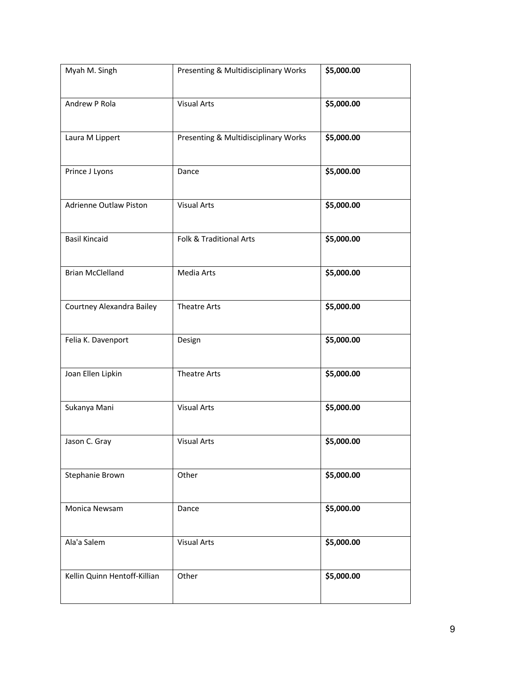| Myah M. Singh                 | Presenting & Multidisciplinary Works | \$5,000.00 |
|-------------------------------|--------------------------------------|------------|
| Andrew P Rola                 | <b>Visual Arts</b>                   | \$5,000.00 |
| Laura M Lippert               | Presenting & Multidisciplinary Works | \$5,000.00 |
| Prince J Lyons                | Dance                                | \$5,000.00 |
| <b>Adrienne Outlaw Piston</b> | <b>Visual Arts</b>                   | \$5,000.00 |
| <b>Basil Kincaid</b>          | Folk & Traditional Arts              | \$5,000.00 |
| <b>Brian McClelland</b>       | Media Arts                           | \$5,000.00 |
| Courtney Alexandra Bailey     | <b>Theatre Arts</b>                  | \$5,000.00 |
| Felia K. Davenport            | Design                               | \$5,000.00 |
| Joan Ellen Lipkin             | <b>Theatre Arts</b>                  | \$5,000.00 |
| Sukanya Mani                  | <b>Visual Arts</b>                   | \$5,000.00 |
| Jason C. Gray                 | <b>Visual Arts</b>                   | \$5,000.00 |
| Stephanie Brown               | Other                                | \$5,000.00 |
| Monica Newsam                 | Dance                                | \$5,000.00 |
| Ala'a Salem                   | <b>Visual Arts</b>                   | \$5,000.00 |
| Kellin Quinn Hentoff-Killian  | Other                                | \$5,000.00 |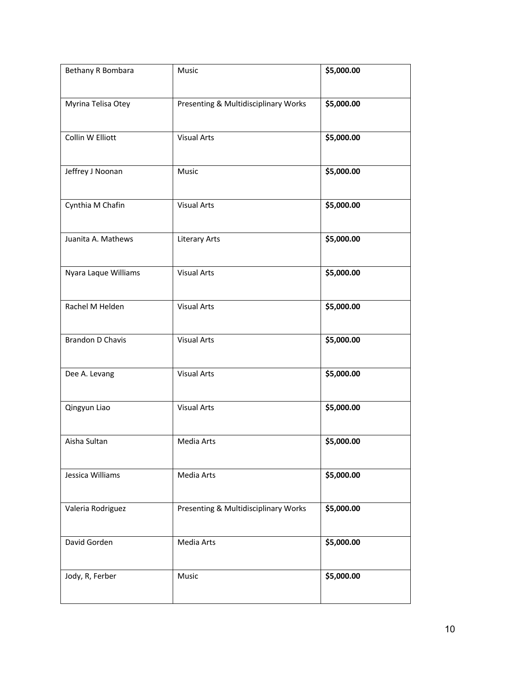| Bethany R Bombara       | Music                                | \$5,000.00 |
|-------------------------|--------------------------------------|------------|
| Myrina Telisa Otey      | Presenting & Multidisciplinary Works | \$5,000.00 |
| Collin W Elliott        | <b>Visual Arts</b>                   | \$5,000.00 |
| Jeffrey J Noonan        | Music                                | \$5,000.00 |
| Cynthia M Chafin        | <b>Visual Arts</b>                   | \$5,000.00 |
| Juanita A. Mathews      | <b>Literary Arts</b>                 | \$5,000.00 |
| Nyara Laque Williams    | <b>Visual Arts</b>                   | \$5,000.00 |
| Rachel M Helden         | <b>Visual Arts</b>                   | \$5,000.00 |
| <b>Brandon D Chavis</b> | <b>Visual Arts</b>                   | \$5,000.00 |
| Dee A. Levang           | <b>Visual Arts</b>                   | \$5,000.00 |
| Qingyun Liao            | <b>Visual Arts</b>                   | \$5,000.00 |
| Aisha Sultan            | Media Arts                           | \$5,000.00 |
| Jessica Williams        | Media Arts                           | \$5,000.00 |
| Valeria Rodriguez       | Presenting & Multidisciplinary Works | \$5,000.00 |
| David Gorden            | Media Arts                           | \$5,000.00 |
| Jody, R, Ferber         | Music                                | \$5,000.00 |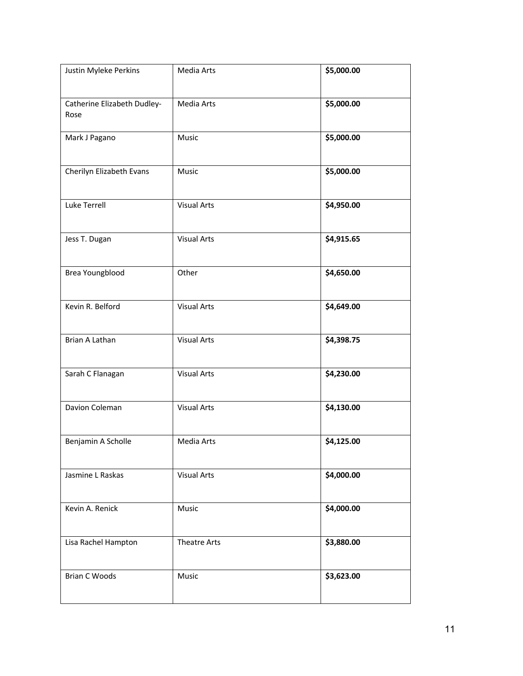| Justin Myleke Perkins               | Media Arts          | \$5,000.00 |
|-------------------------------------|---------------------|------------|
| Catherine Elizabeth Dudley-<br>Rose | Media Arts          | \$5,000.00 |
| Mark J Pagano                       | Music               | \$5,000.00 |
| Cherilyn Elizabeth Evans            | Music               | \$5,000.00 |
| Luke Terrell                        | <b>Visual Arts</b>  | \$4,950.00 |
| Jess T. Dugan                       | <b>Visual Arts</b>  | \$4,915.65 |
| Brea Youngblood                     | Other               | \$4,650.00 |
| Kevin R. Belford                    | <b>Visual Arts</b>  | \$4,649.00 |
| Brian A Lathan                      | <b>Visual Arts</b>  | \$4,398.75 |
| Sarah C Flanagan                    | <b>Visual Arts</b>  | \$4,230.00 |
| Davion Coleman                      | <b>Visual Arts</b>  | \$4,130.00 |
| Benjamin A Scholle                  | Media Arts          | \$4,125.00 |
| Jasmine L Raskas                    | <b>Visual Arts</b>  | \$4,000.00 |
| Kevin A. Renick                     | Music               | \$4,000.00 |
| Lisa Rachel Hampton                 | <b>Theatre Arts</b> | \$3,880.00 |
| <b>Brian C Woods</b>                | Music               | \$3,623.00 |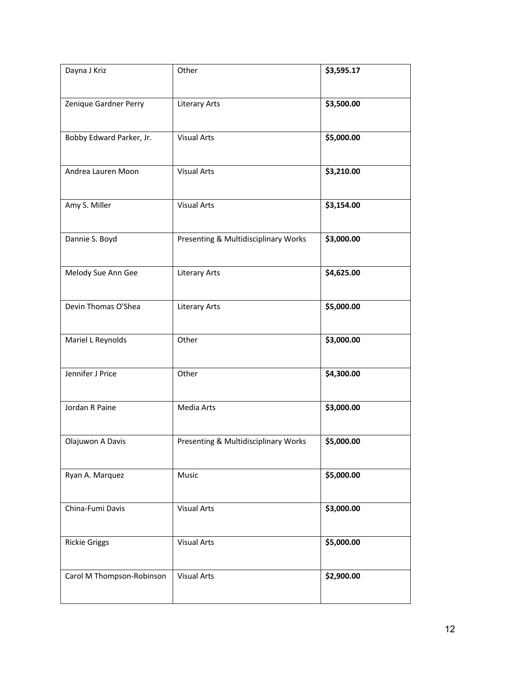| Dayna J Kriz              | Other                                | \$3,595.17 |
|---------------------------|--------------------------------------|------------|
| Zenique Gardner Perry     | <b>Literary Arts</b>                 | \$3,500.00 |
| Bobby Edward Parker, Jr.  | <b>Visual Arts</b>                   | \$5,000.00 |
| Andrea Lauren Moon        | <b>Visual Arts</b>                   | \$3,210.00 |
| Amy S. Miller             | <b>Visual Arts</b>                   | \$3,154.00 |
| Dannie S. Boyd            | Presenting & Multidisciplinary Works | \$3,000.00 |
| Melody Sue Ann Gee        | <b>Literary Arts</b>                 | \$4,625.00 |
| Devin Thomas O'Shea       | <b>Literary Arts</b>                 | \$5,000.00 |
| Mariel L Reynolds         | Other                                | \$3,000.00 |
| Jennifer J Price          | Other                                | \$4,300.00 |
| Jordan R Paine            | Media Arts                           | \$3,000.00 |
| Olajuwon A Davis          | Presenting & Multidisciplinary Works | \$5,000.00 |
| Ryan A. Marquez           | Music                                | \$5,000.00 |
| China-Fumi Davis          | <b>Visual Arts</b>                   | \$3,000.00 |
| <b>Rickie Griggs</b>      | <b>Visual Arts</b>                   | \$5,000.00 |
| Carol M Thompson-Robinson | <b>Visual Arts</b>                   | \$2,900.00 |